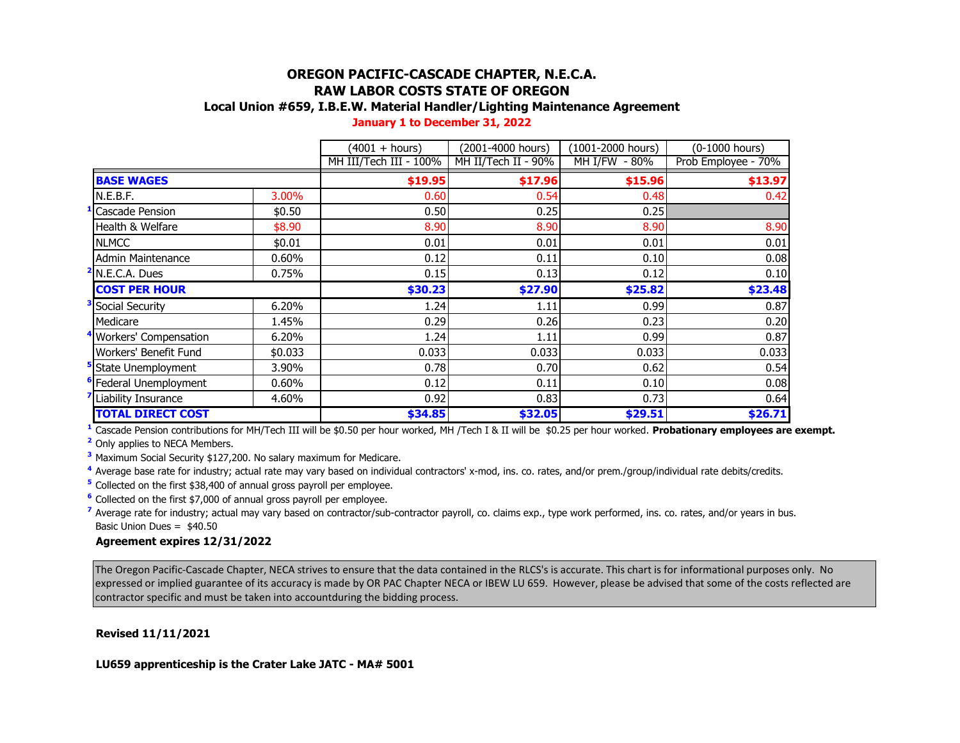# **OREGON PACIFIC-CASCADE CHAPTER, N.E.C.A. RAW LABOR COSTS STATE OF OREGON**

## **Local Union #659, I.B.E.W. Material Handler/Lighting Maintenance Agreement**

| January 1 to December 31, 2022 |
|--------------------------------|
|--------------------------------|

|                                   |          | $(4001 + hours)$       | (2001-4000 hours)   | (1001-2000 hours) | (0-1000 hours)      |
|-----------------------------------|----------|------------------------|---------------------|-------------------|---------------------|
|                                   |          | MH III/Tech III - 100% | MH II/Tech II - 90% | MH I/FW - 80%     | Prob Employee - 70% |
| <b>BASE WAGES</b>                 |          | \$19.95                | \$17.96             | \$15.96           | \$13.97             |
| N.E.B.F.                          | 3.00%    | 0.60                   | 0.54                | 0.48              | 0.42                |
| Cascade Pension                   | \$0.50   | 0.50                   | 0.25                | 0.25              |                     |
| Health & Welfare                  | \$8.90   | 8.90                   | 8.90                | 8.90              | 8.90                |
| <b>NLMCC</b>                      | \$0.01   | 0.01                   | 0.01                | 0.01              | 0.01                |
| <b>Admin Maintenance</b>          | 0.60%    | 0.12                   | 0.11                | 0.10              | 0.08                |
| <sup>2</sup> N.E.C.A. Dues        | 0.75%    | 0.15                   | 0.13                | 0.12              | 0.10                |
| <b>COST PER HOUR</b>              |          | \$30.23                | \$27.90             | \$25.82           | \$23.48             |
| <sup>3</sup> Social Security      | 6.20%    | 1.24                   | 1.11                | 0.99              | 0.87                |
| Medicare                          | 1.45%    | 0.29                   | 0.26                | 0.23              | 0.20                |
| Workers' Compensation             | 6.20%    | 1.24                   | 1.11                | 0.99              | 0.87                |
| Workers' Benefit Fund             | \$0.033  | 0.033                  | 0.033               | 0.033             | 0.033               |
| State Unemployment                | 3.90%    | 0.78                   | 0.70                | 0.62              | 0.54                |
| <sup>6</sup> Federal Unemployment | $0.60\%$ | 0.12                   | 0.11                | 0.10              | 0.08                |
| Liability Insurance               | 4.60%    | 0.92                   | 0.83                | 0.73              | 0.64                |
| <b>TOTAL DIRECT COST</b>          |          | \$34.85                | \$32.05             | \$29.51           | \$26.71             |

**<sup>1</sup>** Cascade Pension contributions for MH/Tech III will be \$0.50 per hour worked, MH /Tech I & II will be \$0.25 per hour worked. **Probationary employees are exempt.**

**<sup>2</sup>** Only applies to NECA Members.

**<sup>3</sup>** Maximum Social Security \$127,200. No salary maximum for Medicare.

**<sup>4</sup>** Average base rate for industry; actual rate may vary based on individual contractors' x-mod, ins. co. rates, and/or prem./group/individual rate debits/credits.

**<sup>5</sup>** Collected on the first \$38,400 of annual gross payroll per employee.

**<sup>6</sup>** Collected on the first \$7,000 of annual gross payroll per employee.

<sup>7</sup> Average rate for industry; actual may vary based on contractor/sub-contractor payroll, co. claims exp., type work performed, ins. co. rates, and/or years in bus. Basic Union Dues = \$40.50

#### **Agreement expires 12/31/2022**

The Oregon Pacific-Cascade Chapter, NECA strives to ensure that the data contained in the RLCS's is accurate. This chart is for informational purposes only. No expressed or implied guarantee of its accuracy is made by OR PAC Chapter NECA or IBEW LU 659. However, please be advised that some of the costs reflected are contractor specific and must be taken into accountduring the bidding process.

**Revised 11/11/2021**

**LU659 apprenticeship is the Crater Lake JATC - MA# 5001**